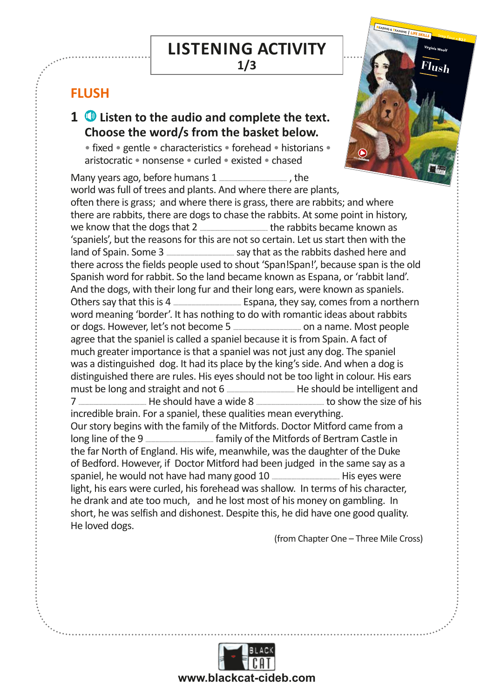## LISTENING ACTIVITY

**1/3**

Cambridge English First and Trinity (Grade 7) style

activities

## **FLUSH**

## pasket bel **1**  $\bullet$  Listen to the audio and complete the text. Choose the word/s from the basket below.

 $\overline{X}$  art.  $\overline{X}$ • fixed • gentle • characteristics • forehead • historians • aristocratic • nonsense • curled • existed • chased

Many years ago, before humans 1 ............................................................... , the world was full of trees and plants. And where there are plants, often there is grass; and where there is grass, there are rabbits; and where there are rabbits, there are dogs to chase the rabbits. At some point in history, we know that the dogs that 2 ............................................................... the rabbits became known as 'spaniels', but the reasons for this are not so certain. Let us start then with the land of Spain. Some 3 ............................................................... say that as the rabbits dashed here and there across the fields people used to shout 'Span!Span!', because span is the old Spanish word for rabbit. So the land became known as Espana, or 'rabbit land'. And the dogs, with their long fur and their long ears, were known as spaniels. Others say that this is 4 ............................................................... Espana, they say, comes from a northern word meaning 'border'. It has nothing to do with romantic ideas about rabbits or dogs. However, let's not become 5 ............................................................... on a name. Most people agree that the spaniel is called a spaniel because it is from Spain. A fact of much greater importance is that a spaniel was not just any dog. The spaniel was a distinguished dog. It had its place by the king's side. And when a dog is distinguished there are rules. His eyes should not be too light in colour. His ears must be long and straight and not 6 ............................................................... He should be intelligent and 7 ............................................................... He should have a wide 8 ............................................................... to show the size of his incredible brain. For a spaniel, these qualities mean everything. Our story begins with the family of the Mitfords. Doctor Mitford came from a long line of the 9 ............................................................... family of the Mitfords of Bertram Castle in the far North of England. His wife, meanwhile, was the daughter of the Duke of Bedford. However, if Doctor Mitford had been judged in the same say as a spaniel, he would not have had many good 10 ............................................................... His eyes were light, his ears were curled, his forehead was shallow. In terms of his character, he drank and ate too much, and he lost most of his money on gambling. In short, he was selfish and dishonest. Despite this, he did have one good quality. He loved dogs.

(from Chapter One – Three Mile Cross)

**LIFE SKILLS**

*free* **Audiobook**

 $\sqrt{2}$ 

READING & TRAINING | LIFE S

**Virginia Woolf**

**Flush**

Step Four • **B2**.1